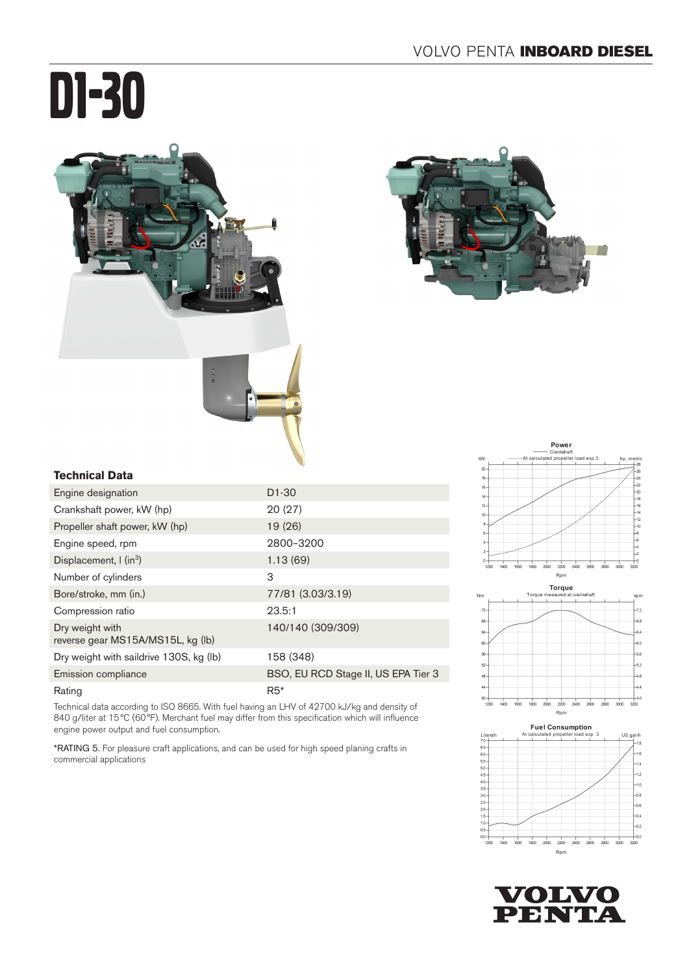# D1-30







#### **Technical Data**

| Engine designation                                   | $D1-30$                             |
|------------------------------------------------------|-------------------------------------|
| Crankshaft power, kW (hp)                            | 20(27)                              |
| Propeller shaft power, kW (hp)                       | 19(26)                              |
| Engine speed, rpm                                    | 2800-3200                           |
| Displacement, $\int$ (in <sup>3</sup> )              | 1.13(69)                            |
| Number of cylinders                                  | 3                                   |
| Bore/stroke, mm (in.)                                | 77/81 (3.03/3.19)                   |
| Compression ratio                                    | 23.5:1                              |
| Dry weight with<br>reverse gear MS15A/MS15L, kg (lb) | 140/140 (309/309)                   |
| Dry weight with saildrive 130S, kg (lb)              | 158 (348)                           |
| Emission compliance                                  | BSO, EU RCD Stage II, US EPA Tier 3 |
| Rating                                               | $R5*$                               |

Technical data according to ISO 8665. With fuel having an LHV of 42700 kJ/kg and density of 840 g/liter at 15°C (60°F). Merchant fuel may differ from this specification which will influence engine power output and fuel consumption.

\*RATING 5. For pleasure craft applications, and can be used for high speed planing crafts in commercial applications